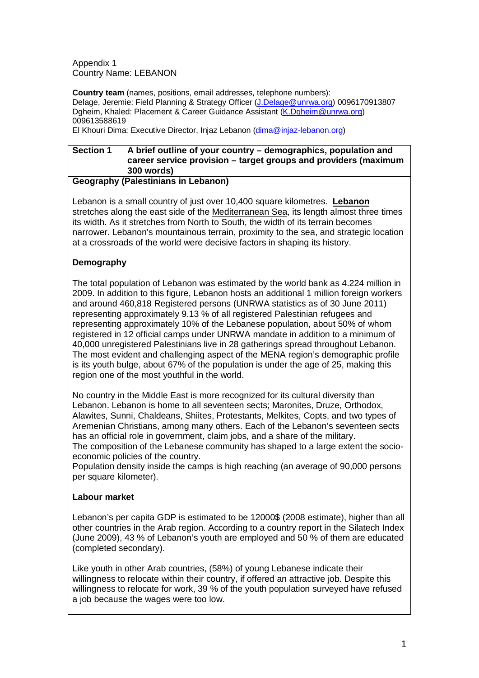Appendix 1 Country Name: LEBANON

**Country team** (names, positions, email addresses, telephone numbers): Delage, Jeremie: Field Planning & Strategy Officer [\(J.Delage@unrwa.org\)](mailto:J.Delage@unrwa.org) 0096170913807 Dgheim, Khaled: Placement & Career Guidance Assistant [\(K.Dgheim@unrwa.org\)](mailto:K.Dgheim@unrwa.org) 009613588619

El Khouri Dima: Executive Director, Injaz Lebanon [\(dima@injaz-lebanon.org\)](mailto:dima@injaz-lebanon.org)

## **Section 1 A brief outline of your country – demographics, population and career service provision – target groups and providers (maximum 300 words)**

# **Geography (Palestinians in Lebanon)**

Lebanon is a small country of just over 10,400 square kilometres. **[Lebanon](http://en.wikipedia.org/wiki/Lebanon)** stretches along the east side of the [Mediterranean Sea,](http://en.wikipedia.org/wiki/Mediterranean_Sea) its length almost three times its width. As it stretches from North to South, the width of its terrain becomes narrower. Lebanon's mountainous terrain, proximity to the sea, and strategic location at a crossroads of the world were decisive factors in shaping its history.

# **Demography**

The total population of Lebanon was estimated by the world bank as 4.224 million in 2009. In addition to this figure, Lebanon hosts an additional 1 million foreign workers and around 460,818 Registered persons (UNRWA statistics as of 30 June 2011) representing approximately 9.13 % of all registered Palestinian refugees and representing approximately 10% of the Lebanese population, about 50% of whom registered in 12 official camps under UNRWA mandate in addition to a minimum of 40,000 unregistered Palestinians live in 28 gatherings spread throughout Lebanon. The most evident and challenging aspect of the MENA region's demographic profile is its youth bulge, about 67% of the population is under the age of 25, making this region one of the most youthful in the world.

No country in the Middle East is more recognized for its cultural diversity than Lebanon. Lebanon is home to all seventeen sects; Maronites, Druze, Orthodox, Alawites, Sunni, Chaldeans, Shiites, Protestants, Melkites, Copts, and two types of Aremenian Christians, among many others. Each of the Lebanon's seventeen sects has an official role in government, claim jobs, and a share of the military. The composition of the Lebanese community has shaped to a large extent the socioeconomic policies of the country.

Population density inside the camps is high reaching (an average of 90,000 persons per square kilometer).

# **Labour market**

Lebanon's per capita GDP is estimated to be 12000\$ (2008 estimate), higher than all other countries in the Arab region. According to a country report in the Silatech Index (June 2009), 43 % of Lebanon's youth are employed and 50 % of them are educated (completed secondary).

Like youth in other Arab countries, (58%) of young Lebanese indicate their willingness to relocate within their country, if offered an attractive job. Despite this willingness to relocate for work, 39 % of the youth population surveyed have refused a job because the wages were too low.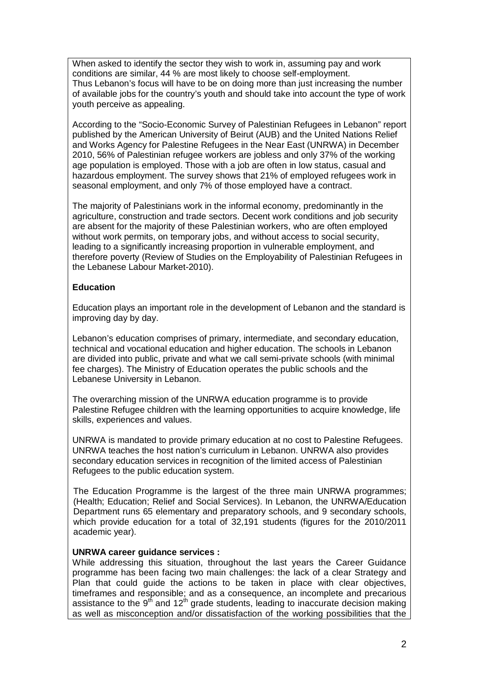When asked to identify the sector they wish to work in, assuming pay and work conditions are similar, 44 % are most likely to choose self-employment. Thus Lebanon's focus will have to be on doing more than just increasing the number of available jobs for the country's youth and should take into account the type of work youth perceive as appealing.

According to the "Socio-Economic Survey of Palestinian Refugees in Lebanon" report published by the American University of Beirut (AUB) and the United Nations Relief and Works Agency for Palestine Refugees in the Near East (UNRWA) in December 2010, 56% of Palestinian refugee workers are jobless and only 37% of the working age population is employed. Those with a job are often in low status, casual and hazardous employment. The survey shows that 21% of employed refugees work in seasonal employment, and only 7% of those employed have a contract.

The majority of Palestinians work in the informal economy, predominantly in the agriculture, construction and trade sectors. Decent work conditions and job security are absent for the majority of these Palestinian workers, who are often employed without work permits, on temporary jobs, and without access to social security, leading to a significantly increasing proportion in vulnerable employment, and therefore poverty (Review of Studies on the Employability of Palestinian Refugees in the Lebanese Labour Market-2010).

## **Education**

Education plays an important role in the development of Lebanon and the standard is improving day by day.

Lebanon's education comprises of primary, intermediate, and secondary education, technical and vocational education and higher education. The schools in Lebanon are divided into public, private and what we call semi-private schools (with minimal fee charges). The Ministry of Education operates the public schools and the Lebanese University in Lebanon.

The overarching mission of the UNRWA education programme is to provide Palestine Refugee children with the learning opportunities to acquire knowledge, life skills, experiences and values.

UNRWA is mandated to provide primary education at no cost to Palestine Refugees. UNRWA teaches the host nation's curriculum in Lebanon. UNRWA also provides secondary education services in recognition of the limited access of Palestinian Refugees to the public education system.

The Education Programme is the largest of the three main UNRWA programmes; (Health; Education; Relief and Social Services). In Lebanon, the UNRWA/Education Department runs 65 elementary and preparatory schools, and 9 secondary schools, which provide education for a total of 32,191 students (figures for the 2010/2011 academic year).

### **UNRWA career guidance services :**

While addressing this situation, throughout the last years the Career Guidance programme has been facing two main challenges: the lack of a clear Strategy and Plan that could guide the actions to be taken in place with clear objectives, timeframes and responsible; and as a consequence, an incomplete and precarious assistance to the  $9<sup>th</sup>$  and  $12<sup>th</sup>$  grade students, leading to inaccurate decision making as well as misconception and/or dissatisfaction of the working possibilities that the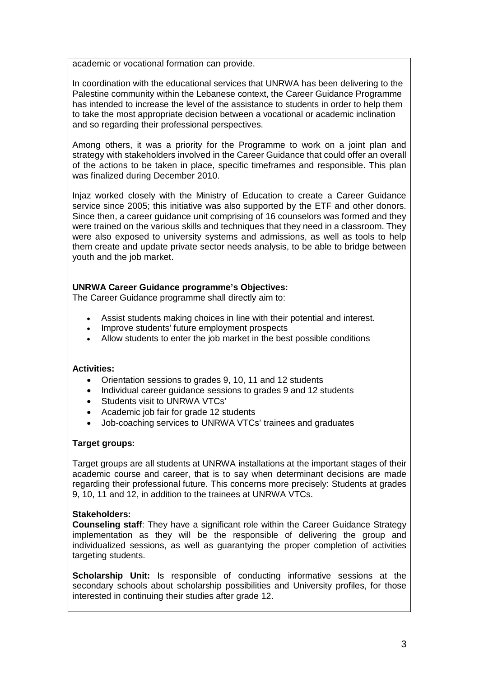academic or vocational formation can provide.

In coordination with the educational services that UNRWA has been delivering to the Palestine community within the Lebanese context, the Career Guidance Programme has intended to increase the level of the assistance to students in order to help them to take the most appropriate decision between a vocational or academic inclination and so regarding their professional perspectives.

Among others, it was a priority for the Programme to work on a joint plan and strategy with stakeholders involved in the Career Guidance that could offer an overall of the actions to be taken in place, specific timeframes and responsible. This plan was finalized during December 2010.

Injaz worked closely with the Ministry of Education to create a Career Guidance service since 2005; this initiative was also supported by the ETF and other donors. Since then, a career guidance unit comprising of 16 counselors was formed and they were trained on the various skills and techniques that they need in a classroom. They were also exposed to university systems and admissions, as well as tools to help them create and update private sector needs analysis, to be able to bridge between youth and the job market.

### **UNRWA Career Guidance programme's Objectives:**

The Career Guidance programme shall directly aim to:

- Assist students making choices in line with their potential and interest.
- Improve students' future employment prospects
- Allow students to enter the job market in the best possible conditions

#### **Activities:**

- Orientation sessions to grades 9, 10, 11 and 12 students
- Individual career guidance sessions to grades 9 and 12 students
- Students visit to UNRWA VTCs'
- Academic job fair for grade 12 students
- Job-coaching services to UNRWA VTCs' trainees and graduates

### **Target groups:**

Target groups are all students at UNRWA installations at the important stages of their academic course and career, that is to say when determinant decisions are made regarding their professional future. This concerns more precisely: Students at grades 9, 10, 11 and 12, in addition to the trainees at UNRWA VTCs.

### **Stakeholders:**

**Counseling staff**: They have a significant role within the Career Guidance Strategy implementation as they will be the responsible of delivering the group and individualized sessions, as well as guarantying the proper completion of activities targeting students.

**Scholarship Unit:** Is responsible of conducting informative sessions at the secondary schools about scholarship possibilities and University profiles, for those interested in continuing their studies after grade 12.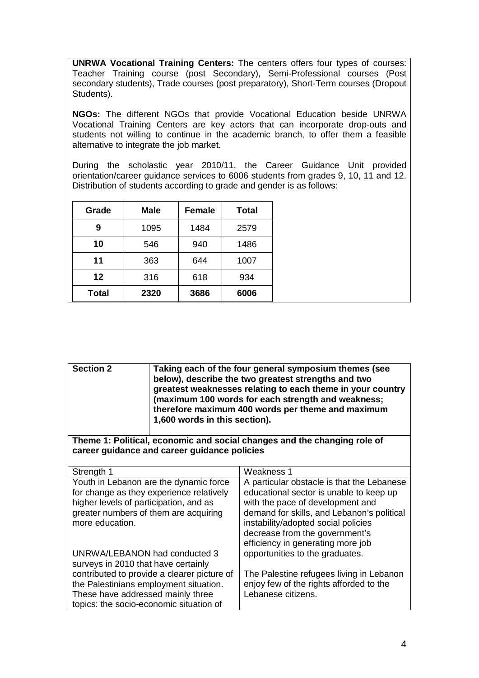**UNRWA Vocational Training Centers:** The centers offers four types of courses: Teacher Training course (post Secondary), Semi-Professional courses (Post secondary students), Trade courses (post preparatory), Short-Term courses (Dropout Students).

**NGOs:** The different NGOs that provide Vocational Education beside UNRWA Vocational Training Centers are key actors that can incorporate drop-outs and students not willing to continue in the academic branch, to offer them a feasible alternative to integrate the job market.

During the scholastic year 2010/11, the Career Guidance Unit provided orientation/career guidance services to 6006 students from grades 9, 10, 11 and 12. Distribution of students according to grade and gender is as follows:

| Grade        | <b>Male</b> | <b>Female</b> | <b>Total</b> |
|--------------|-------------|---------------|--------------|
| 9            | 1095        | 1484          | 2579         |
| 10           | 546         | 940           | 1486         |
| 11           | 363         | 644           | 1007         |
| 12           | 316         | 618           | 934          |
| <b>Total</b> | 2320        | 3686          | 6006         |

| <b>Section 2</b>                                                                                                                                                                                                          | Taking each of the four general symposium themes (see<br>below), describe the two greatest strengths and two<br>greatest weaknesses relating to each theme in your country<br>(maximum 100 words for each strength and weakness;<br>therefore maximum 400 words per theme and maximum<br>1,600 words in this section). |                                                                                                                                                                                                                                                                                                                          |  |  |
|---------------------------------------------------------------------------------------------------------------------------------------------------------------------------------------------------------------------------|------------------------------------------------------------------------------------------------------------------------------------------------------------------------------------------------------------------------------------------------------------------------------------------------------------------------|--------------------------------------------------------------------------------------------------------------------------------------------------------------------------------------------------------------------------------------------------------------------------------------------------------------------------|--|--|
| Theme 1: Political, economic and social changes and the changing role of<br>career guidance and career guidance policies                                                                                                  |                                                                                                                                                                                                                                                                                                                        |                                                                                                                                                                                                                                                                                                                          |  |  |
| Strength 1                                                                                                                                                                                                                |                                                                                                                                                                                                                                                                                                                        | Weakness 1                                                                                                                                                                                                                                                                                                               |  |  |
| Youth in Lebanon are the dynamic force<br>for change as they experience relatively<br>higher levels of participation, and as<br>greater numbers of them are acquiring<br>more education.<br>UNRWA/LEBANON had conducted 3 |                                                                                                                                                                                                                                                                                                                        | A particular obstacle is that the Lebanese<br>educational sector is unable to keep up<br>with the pace of development and<br>demand for skills, and Lebanon's political<br>instability/adopted social policies<br>decrease from the government's<br>efficiency in generating more job<br>opportunities to the graduates. |  |  |
| surveys in 2010 that have certainly<br>contributed to provide a clearer picture of<br>the Palestinians employment situation.<br>These have addressed mainly three<br>topics: the socio-economic situation of              |                                                                                                                                                                                                                                                                                                                        | The Palestine refugees living in Lebanon<br>enjoy few of the rights afforded to the<br>Lebanese citizens.                                                                                                                                                                                                                |  |  |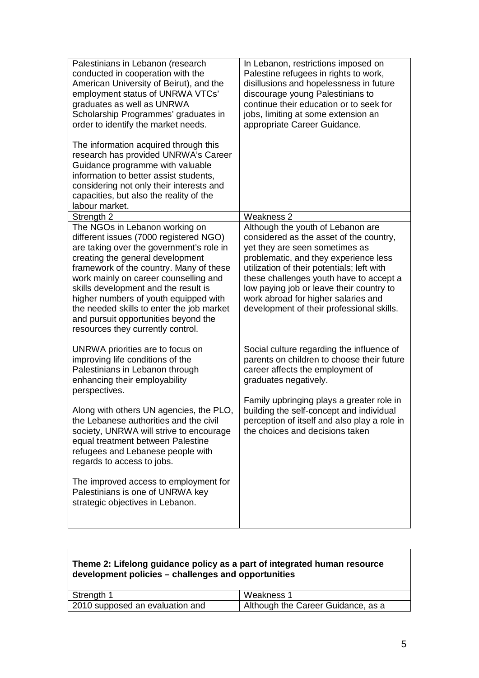| Palestinians in Lebanon (research<br>conducted in cooperation with the<br>American University of Beirut), and the<br>employment status of UNRWA VTCs'<br>graduates as well as UNRWA<br>Scholarship Programmes' graduates in<br>order to identify the market needs.                                                                                                                                                    | In Lebanon, restrictions imposed on<br>Palestine refugees in rights to work,<br>disillusions and hopelessness in future<br>discourage young Palestinians to<br>continue their education or to seek for<br>jobs, limiting at some extension an<br>appropriate Career Guidance.                                                               |
|-----------------------------------------------------------------------------------------------------------------------------------------------------------------------------------------------------------------------------------------------------------------------------------------------------------------------------------------------------------------------------------------------------------------------|---------------------------------------------------------------------------------------------------------------------------------------------------------------------------------------------------------------------------------------------------------------------------------------------------------------------------------------------|
| The information acquired through this<br>research has provided UNRWA's Career<br>Guidance programme with valuable<br>information to better assist students,<br>considering not only their interests and<br>capacities, but also the reality of the<br>labour market.                                                                                                                                                  |                                                                                                                                                                                                                                                                                                                                             |
| Strength 2<br>The NGOs in Lebanon working on                                                                                                                                                                                                                                                                                                                                                                          | <b>Weakness 2</b><br>Although the youth of Lebanon are                                                                                                                                                                                                                                                                                      |
| different issues (7000 registered NGO)<br>are taking over the government's role in<br>creating the general development<br>framework of the country. Many of these<br>work mainly on career counselling and<br>skills development and the result is<br>higher numbers of youth equipped with<br>the needed skills to enter the job market<br>and pursuit opportunities beyond the<br>resources they currently control. | considered as the asset of the country,<br>yet they are seen sometimes as<br>problematic, and they experience less<br>utilization of their potentials; left with<br>these challenges youth have to accept a<br>low paying job or leave their country to<br>work abroad for higher salaries and<br>development of their professional skills. |
| UNRWA priorities are to focus on<br>improving life conditions of the<br>Palestinians in Lebanon through<br>enhancing their employability<br>perspectives.                                                                                                                                                                                                                                                             | Social culture regarding the influence of<br>parents on children to choose their future<br>career affects the employment of<br>graduates negatively.                                                                                                                                                                                        |
| Along with others UN agencies, the PLO,<br>the Lebanese authorities and the civil<br>society, UNRWA will strive to encourage<br>equal treatment between Palestine<br>refugees and Lebanese people with<br>regards to access to jobs.                                                                                                                                                                                  | Family upbringing plays a greater role in<br>building the self-concept and individual<br>perception of itself and also play a role in<br>the choices and decisions taken                                                                                                                                                                    |
| The improved access to employment for<br>Palestinians is one of UNRWA key<br>strategic objectives in Lebanon.                                                                                                                                                                                                                                                                                                         |                                                                                                                                                                                                                                                                                                                                             |

| Theme 2: Lifelong guidance policy as a part of integrated human resource |
|--------------------------------------------------------------------------|
| development policies – challenges and opportunities                      |

| Strength 1                      | Weakness 1                         |
|---------------------------------|------------------------------------|
| 2010 supposed an evaluation and | Although the Career Guidance, as a |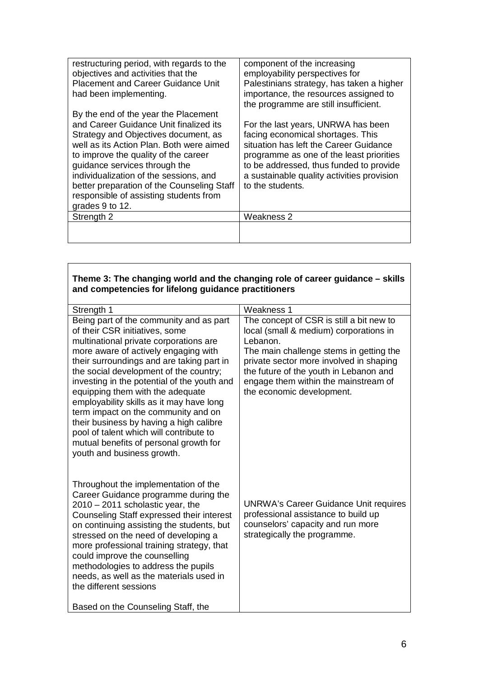| restructuring period, with regards to the<br>objectives and activities that the<br><b>Placement and Career Guidance Unit</b><br>had been implementing.                                                                                                                                                                                                                                                         | component of the increasing<br>employability perspectives for<br>Palestinians strategy, has taken a higher<br>importance, the resources assigned to<br>the programme are still insufficient.                                                                                             |
|----------------------------------------------------------------------------------------------------------------------------------------------------------------------------------------------------------------------------------------------------------------------------------------------------------------------------------------------------------------------------------------------------------------|------------------------------------------------------------------------------------------------------------------------------------------------------------------------------------------------------------------------------------------------------------------------------------------|
| By the end of the year the Placement<br>and Career Guidance Unit finalized its<br>Strategy and Objectives document, as<br>well as its Action Plan. Both were aimed<br>to improve the quality of the career<br>guidance services through the<br>individualization of the sessions, and<br>better preparation of the Counseling Staff<br>responsible of assisting students from<br>grades 9 to 12.<br>Strength 2 | For the last years, UNRWA has been<br>facing economical shortages. This<br>situation has left the Career Guidance<br>programme as one of the least priorities<br>to be addressed, thus funded to provide<br>a sustainable quality activities provision<br>to the students.<br>Weakness 2 |
|                                                                                                                                                                                                                                                                                                                                                                                                                |                                                                                                                                                                                                                                                                                          |

## **Theme 3: The changing world and the changing role of career guidance – skills and competencies for lifelong guidance practitioners**

| Strength 1                                                                          | Weakness 1                                                                        |
|-------------------------------------------------------------------------------------|-----------------------------------------------------------------------------------|
| Being part of the community and as part<br>of their CSR initiatives, some           | The concept of CSR is still a bit new to                                          |
| multinational private corporations are                                              | local (small & medium) corporations in<br>Lebanon.                                |
| more aware of actively engaging with                                                | The main challenge stems in getting the                                           |
| their surroundings and are taking part in<br>the social development of the country; | private sector more involved in shaping<br>the future of the youth in Lebanon and |
| investing in the potential of the youth and                                         | engage them within the mainstream of                                              |
| equipping them with the adequate                                                    | the economic development.                                                         |
| employability skills as it may have long<br>term impact on the community and on     |                                                                                   |
| their business by having a high calibre                                             |                                                                                   |
| pool of talent which will contribute to                                             |                                                                                   |
| mutual benefits of personal growth for<br>youth and business growth.                |                                                                                   |
|                                                                                     |                                                                                   |
|                                                                                     |                                                                                   |
| Throughout the implementation of the<br>Career Guidance programme during the        |                                                                                   |
| $2010 - 2011$ scholastic year, the                                                  | <b>UNRWA's Career Guidance Unit requires</b>                                      |
| Counseling Staff expressed their interest                                           | professional assistance to build up                                               |
| on continuing assisting the students, but<br>stressed on the need of developing a   | counselors' capacity and run more<br>strategically the programme.                 |
| more professional training strategy, that                                           |                                                                                   |
| could improve the counselling                                                       |                                                                                   |
| methodologies to address the pupils<br>needs, as well as the materials used in      |                                                                                   |
| the different sessions                                                              |                                                                                   |
| Based on the Counseling Staff, the                                                  |                                                                                   |
|                                                                                     |                                                                                   |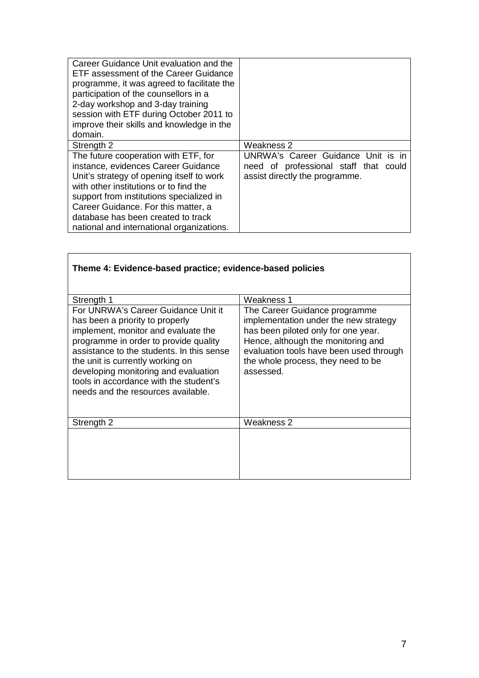| Career Guidance Unit evaluation and the<br>ETF assessment of the Career Guidance<br>programme, it was agreed to facilitate the<br>participation of the counsellors in a<br>2-day workshop and 3-day training<br>session with ETF during October 2011 to |                                       |
|---------------------------------------------------------------------------------------------------------------------------------------------------------------------------------------------------------------------------------------------------------|---------------------------------------|
| improve their skills and knowledge in the<br>domain.                                                                                                                                                                                                    |                                       |
|                                                                                                                                                                                                                                                         |                                       |
| Strength 2                                                                                                                                                                                                                                              | Weakness 2                            |
| The future cooperation with ETF, for                                                                                                                                                                                                                    | UNRWA's Career Guidance Unit is in    |
| instance, evidences Career Guidance                                                                                                                                                                                                                     | need of professional staff that could |
| Unit's strategy of opening itself to work                                                                                                                                                                                                               | assist directly the programme.        |
| with other institutions or to find the                                                                                                                                                                                                                  |                                       |
| support from institutions specialized in                                                                                                                                                                                                                |                                       |
| Career Guidance. For this matter, a                                                                                                                                                                                                                     |                                       |
| database has been created to track                                                                                                                                                                                                                      |                                       |
| national and international organizations.                                                                                                                                                                                                               |                                       |

| Theme 4: Evidence-based practice; evidence-based policies                                                                                                                                                                                                                                                                                                       |                                                                                                                                                                                                                                                   |
|-----------------------------------------------------------------------------------------------------------------------------------------------------------------------------------------------------------------------------------------------------------------------------------------------------------------------------------------------------------------|---------------------------------------------------------------------------------------------------------------------------------------------------------------------------------------------------------------------------------------------------|
| Strength 1                                                                                                                                                                                                                                                                                                                                                      | Weakness 1                                                                                                                                                                                                                                        |
| For UNRWA's Career Guidance Unit it<br>has been a priority to properly<br>implement, monitor and evaluate the<br>programme in order to provide quality<br>assistance to the students. In this sense<br>the unit is currently working on<br>developing monitoring and evaluation<br>tools in accordance with the student's<br>needs and the resources available. | The Career Guidance programme<br>implementation under the new strategy<br>has been piloted only for one year.<br>Hence, although the monitoring and<br>evaluation tools have been used through<br>the whole process, they need to be<br>assessed. |
| Strength 2                                                                                                                                                                                                                                                                                                                                                      | Weakness 2                                                                                                                                                                                                                                        |
|                                                                                                                                                                                                                                                                                                                                                                 |                                                                                                                                                                                                                                                   |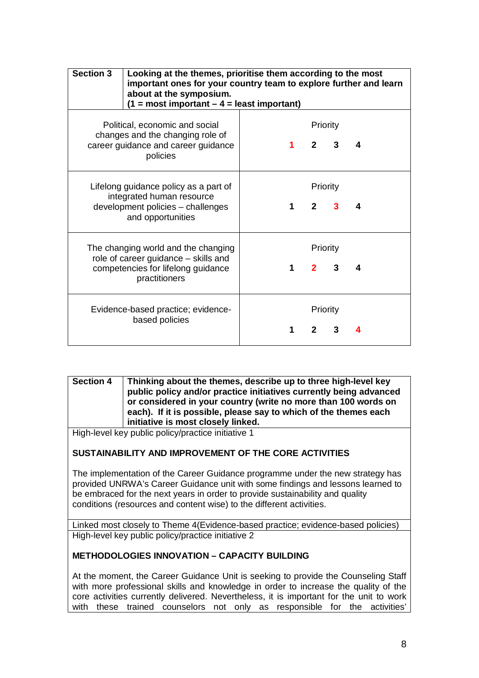| <b>Section 3</b>                                                                                                      | Looking at the themes, prioritise them according to the most<br>important ones for your country team to explore further and learn<br>about at the symposium.<br>$(1 = most important - 4 = least important)$ |             |                          |              |   |
|-----------------------------------------------------------------------------------------------------------------------|--------------------------------------------------------------------------------------------------------------------------------------------------------------------------------------------------------------|-------------|--------------------------|--------------|---|
| Political, economic and social<br>changes and the changing role of<br>career guidance and career guidance<br>policies |                                                                                                                                                                                                              |             | Priority<br>$2^{\circ}$  | 3            | 4 |
|                                                                                                                       | Lifelong guidance policy as a part of<br>integrated human resource<br>development policies - challenges<br>and opportunities                                                                                 | 1           | Priority<br>$\mathbf{2}$ | 3            | 4 |
|                                                                                                                       | The changing world and the changing<br>role of career guidance - skills and<br>competencies for lifelong guidance<br>practitioners                                                                           | $\mathbf 1$ | Priority<br>$2^{\sim}$   | $\mathbf{3}$ | 4 |
|                                                                                                                       | Evidence-based practice; evidence-<br>based policies                                                                                                                                                         |             | Priority<br>$\mathbf{p}$ |              |   |

**Section 4 Thinking about the themes, describe up to three high-level key public policy and/or practice initiatives currently being advanced or considered in your country (write no more than 100 words on each). If it is possible, please say to which of the themes each initiative is most closely linked.**

High-level key public policy/practice initiative 1

# **SUSTAINABILITY AND IMPROVEMENT OF THE CORE ACTIVITIES**

The implementation of the Career Guidance programme under the new strategy has provided UNRWA's Career Guidance unit with some findings and lessons learned to be embraced for the next years in order to provide sustainability and quality conditions (resources and content wise) to the different activities.

Linked most closely to Theme 4(Evidence-based practice; evidence-based policies) High-level key public policy/practice initiative 2

# **METHODOLOGIES INNOVATION – CAPACITY BUILDING**

At the moment, the Career Guidance Unit is seeking to provide the Counseling Staff with more professional skills and knowledge in order to increase the quality of the core activities currently delivered. Nevertheless, it is important for the unit to work with these trained counselors not only as responsible for the activities'